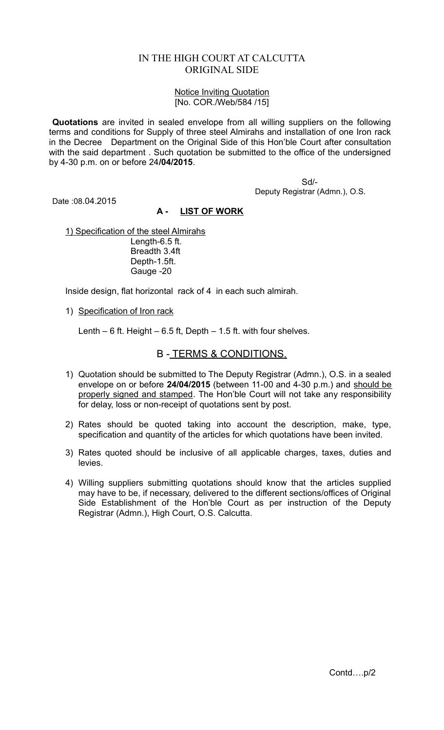## IN THE HIGH COURT AT CALCUTTA ORIGINAL SIDE

## Notice Inviting Quotation [No. COR./Web/584 /15]

**Quotations** are invited in sealed envelope from all willing suppliers on the following terms and conditions for Supply of three steel Almirahs and installation of one Iron rack in the Decree Department on the Original Side of this Hon'ble Court after consultation with the said department . Such quotation be submitted to the office of the undersigned by 4-30 p.m. on or before 24**/04/2015**.

> Sd/- Deputy Registrar (Admn.), O.S.

Date :08.04.2015

## **A - LIST OF WORK**

1) Specification of the steel Almirahs Length-6.5 ft. Breadth 3.4ft Depth-1.5ft. Gauge -20

Inside design, flat horizontal rack of 4 in each such almirah.

1) Specification of Iron rack

Lenth  $-6$  ft. Height  $-6.5$  ft, Depth  $-1.5$  ft. with four shelves.

## B - TERMS & CONDITIONS.

- 1) Quotation should be submitted to The Deputy Registrar (Admn.), O.S. in a sealed envelope on or before **24/04/2015** (between 11-00 and 4-30 p.m.) and should be properly signed and stamped. The Hon'ble Court will not take any responsibility for delay, loss or non-receipt of quotations sent by post.
- 2) Rates should be quoted taking into account the description, make, type, specification and quantity of the articles for which quotations have been invited.
- 3) Rates quoted should be inclusive of all applicable charges, taxes, duties and levies.
- 4) Willing suppliers submitting quotations should know that the articles supplied may have to be, if necessary, delivered to the different sections/offices of Original Side Establishment of the Hon'ble Court as per instruction of the Deputy Registrar (Admn.), High Court, O.S. Calcutta.